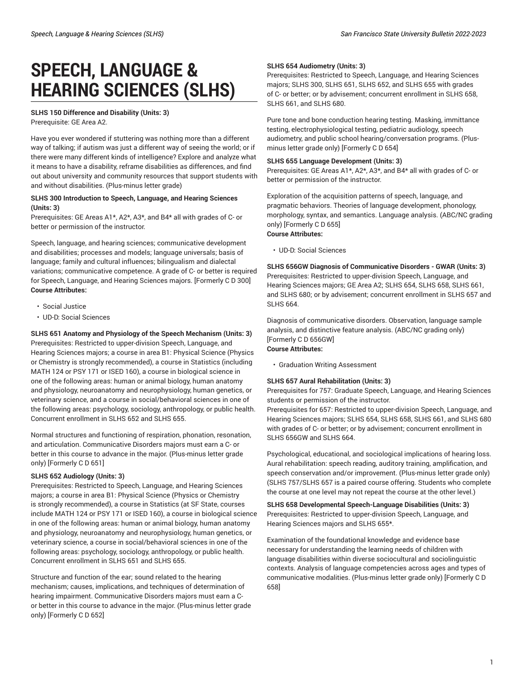# **SPEECH, LANGUAGE & HEARING SCIENCES (SLHS)**

## **SLHS 150 Difference and Disability (Units: 3)** Prerequisite: GE Area A2.

Have you ever wondered if stuttering was nothing more than a different way of talking; if autism was just a different way of seeing the world; or if there were many different kinds of intelligence? Explore and analyze what it means to have a disability, reframe disabilities as differences, and find out about university and community resources that support students with and without disabilities. (Plus-minus letter grade)

## **SLHS 300 Introduction to Speech, Language, and Hearing Sciences (Units: 3)**

Prerequisites: GE Areas A1\*, A2\*, A3\*, and B4\* all with grades of C- or better or permission of the instructor.

Speech, language, and hearing sciences; communicative development and disabilities; processes and models; language universals; basis of language; family and cultural influences; bilingualism and dialectal variations; communicative competence. A grade of C- or better is required for Speech, Language, and Hearing Sciences majors. [Formerly C D 300] **Course Attributes:**

- Social Justice
- UD-D: Social Sciences

**SLHS 651 Anatomy and Physiology of the Speech Mechanism (Units: 3)** Prerequisites: Restricted to upper-division Speech, Language, and Hearing Sciences majors; a course in area B1: Physical Science (Physics or Chemistry is strongly recommended), a course in Statistics (including MATH 124 or PSY 171 or ISED 160), a course in biological science in one of the following areas: human or animal biology, human anatomy and physiology, neuroanatomy and neurophysiology, human genetics, or veterinary science, and a course in social/behavioral sciences in one of the following areas: psychology, sociology, anthropology, or public health. Concurrent enrollment in SLHS 652 and SLHS 655.

Normal structures and functioning of respiration, phonation, resonation, and articulation. Communicative Disorders majors must earn a C- or better in this course to advance in the major. (Plus-minus letter grade only) [Formerly C D 651]

# **SLHS 652 Audiology (Units: 3)**

Prerequisites: Restricted to Speech, Language, and Hearing Sciences majors; a course in area B1: Physical Science (Physics or Chemistry is strongly recommended), a course in Statistics (at SF State, courses include MATH 124 or PSY 171 or ISED 160), a course in biological science in one of the following areas: human or animal biology, human anatomy and physiology, neuroanatomy and neurophysiology, human genetics, or veterinary science, a course in social/behavioral sciences in one of the following areas: psychology, sociology, anthropology, or public health. Concurrent enrollment in SLHS 651 and SLHS 655.

Structure and function of the ear; sound related to the hearing mechanism; causes, implications, and techniques of determination of hearing impairment. Communicative Disorders majors must earn a Cor better in this course to advance in the major. (Plus-minus letter grade only) [Formerly C D 652]

## **SLHS 654 Audiometry (Units: 3)**

Prerequisites: Restricted to Speech, Language, and Hearing Sciences majors; SLHS 300, SLHS 651, SLHS 652, and SLHS 655 with grades of C- or better; or by advisement; concurrent enrollment in SLHS 658, SLHS 661, and SLHS 680.

Pure tone and bone conduction hearing testing. Masking, immittance testing, electrophysiological testing, pediatric audiology, speech audiometry, and public school hearing/conversation programs. (Plusminus letter grade only) [Formerly C D 654]

## **SLHS 655 Language Development (Units: 3)**

Prerequisites: GE Areas A1\*, A2\*, A3\*, and B4\* all with grades of C- or better or permission of the instructor.

Exploration of the acquisition patterns of speech, language, and pragmatic behaviors. Theories of language development, phonology, morphology, syntax, and semantics. Language analysis. (ABC/NC grading only) [Formerly C D 655] **Course Attributes:**

## • UD-D: Social Sciences

**SLHS 656GW Diagnosis of Communicative Disorders - GWAR (Units: 3)** Prerequisites: Restricted to upper-division Speech, Language, and Hearing Sciences majors; GE Area A2; SLHS 654, SLHS 658, SLHS 661, and SLHS 680; or by advisement; concurrent enrollment in SLHS 657 and SLHS 664.

Diagnosis of communicative disorders. Observation, language sample analysis, and distinctive feature analysis. (ABC/NC grading only) [Formerly C D 656GW] **Course Attributes:**

• Graduation Writing Assessment

## **SLHS 657 Aural Rehabilitation (Units: 3)**

Prerequisites for 757: Graduate Speech, Language, and Hearing Sciences students or permission of the instructor.

Prerequisites for 657: Restricted to upper-division Speech, Language, and Hearing Sciences majors; SLHS 654, SLHS 658, SLHS 661, and SLHS 680 with grades of C- or better; or by advisement; concurrent enrollment in SLHS 656GW and SLHS 664.

Psychological, educational, and sociological implications of hearing loss. Aural rehabilitation: speech reading, auditory training, amplification, and speech conservation and/or improvement. (Plus-minus letter grade only) (SLHS 757/SLHS 657 is a paired course offering. Students who complete the course at one level may not repeat the course at the other level.)

**SLHS 658 Developmental Speech-Language Disabilities (Units: 3)** Prerequisites: Restricted to upper-division Speech, Language, and Hearing Sciences majors and SLHS 655\*.

Examination of the foundational knowledge and evidence base necessary for understanding the learning needs of children with language disabilities within diverse sociocultural and sociolinguistic contexts. Analysis of language competencies across ages and types of communicative modalities. (Plus-minus letter grade only) [Formerly C D 658]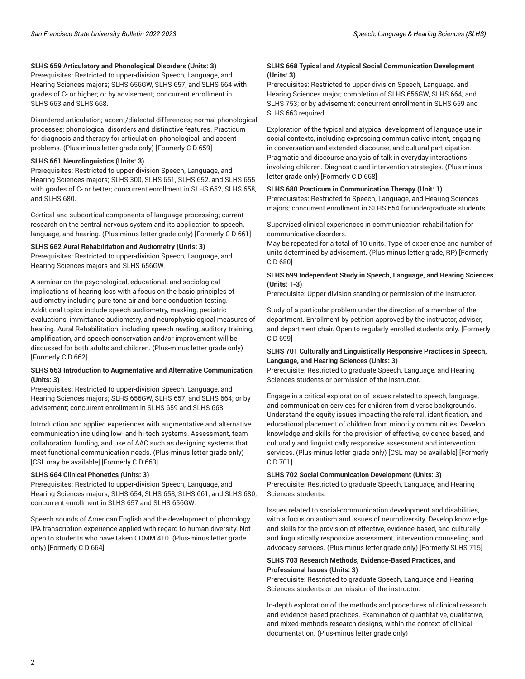# **SLHS 659 Articulatory and Phonological Disorders (Units: 3)**

Prerequisites: Restricted to upper-division Speech, Language, and Hearing Sciences majors; SLHS 656GW, SLHS 657, and SLHS 664 with grades of C- or higher; or by advisement; concurrent enrollment in SLHS 663 and SLHS 668.

Disordered articulation; accent/dialectal differences; normal phonological processes; phonological disorders and distinctive features. Practicum for diagnosis and therapy for articulation, phonological, and accent problems. (Plus-minus letter grade only) [Formerly C D 659]

# **SLHS 661 Neurolinguistics (Units: 3)**

Prerequisites: Restricted to upper-division Speech, Language, and Hearing Sciences majors; SLHS 300, SLHS 651, SLHS 652, and SLHS 655 with grades of C- or better; concurrent enrollment in SLHS 652, SLHS 658, and SLHS 680.

Cortical and subcortical components of language processing; current research on the central nervous system and its application to speech, language, and hearing. (Plus-minus letter grade only) [Formerly C D 661]

# **SLHS 662 Aural Rehabilitation and Audiometry (Units: 3)**

Prerequisites: Restricted to upper-division Speech, Language, and Hearing Sciences majors and SLHS 656GW.

A seminar on the psychological, educational, and sociological implications of hearing loss with a focus on the basic principles of audiometry including pure tone air and bone conduction testing. Additional topics include speech audiometry, masking, pediatric evaluations, immittance audiometry, and neurophysiological measures of hearing. Aural Rehabilitation, including speech reading, auditory training, amplification, and speech conservation and/or improvement will be discussed for both adults and children. (Plus-minus letter grade only) [Formerly C D 662]

## **SLHS 663 Introduction to Augmentative and Alternative Communication (Units: 3)**

Prerequisites: Restricted to upper-division Speech, Language, and Hearing Sciences majors; SLHS 656GW, SLHS 657, and SLHS 664; or by advisement; concurrent enrollment in SLHS 659 and SLHS 668.

Introduction and applied experiences with augmentative and alternative communication including low- and hi-tech systems. Assessment, team collaboration, funding, and use of AAC such as designing systems that meet functional communication needs. (Plus-minus letter grade only) [CSL may be available] [Formerly C D 663]

## **SLHS 664 Clinical Phonetics (Units: 3)**

Prerequisites: Restricted to upper-division Speech, Language, and Hearing Sciences majors; SLHS 654, SLHS 658, SLHS 661, and SLHS 680; concurrent enrollment in SLHS 657 and SLHS 656GW.

Speech sounds of American English and the development of phonology. IPA transcription experience applied with regard to human diversity. Not open to students who have taken COMM 410. (Plus-minus letter grade only) [Formerly C D 664]

## **SLHS 668 Typical and Atypical Social Communication Development (Units: 3)**

Prerequisites: Restricted to upper-division Speech, Language, and Hearing Sciences major; completion of SLHS 656GW, SLHS 664, and SLHS 753; or by advisement; concurrent enrollment in SLHS 659 and SLHS 663 required.

Exploration of the typical and atypical development of language use in social contexts, including expressing communicative intent, engaging in conversation and extended discourse, and cultural participation. Pragmatic and discourse analysis of talk in everyday interactions involving children. Diagnostic and intervention strategies. (Plus-minus letter grade only) [Formerly C D 668]

## **SLHS 680 Practicum in Communication Therapy (Unit: 1)**

Prerequisites: Restricted to Speech, Language, and Hearing Sciences majors; concurrent enrollment in SLHS 654 for undergraduate students.

Supervised clinical experiences in communication rehabilitation for communicative disorders.

May be repeated for a total of 10 units. Type of experience and number of units determined by advisement. (Plus-minus letter grade, RP) [Formerly C D 680]

## **SLHS 699 Independent Study in Speech, Language, and Hearing Sciences (Units: 1-3)**

Prerequisite: Upper-division standing or permission of the instructor.

Study of a particular problem under the direction of a member of the department. Enrollment by petition approved by the instructor, adviser, and department chair. Open to regularly enrolled students only. [Formerly C D 699]

## **SLHS 701 Culturally and Linguistically Responsive Practices in Speech, Language, and Hearing Sciences (Units: 3)**

Prerequisite: Restricted to graduate Speech, Language, and Hearing Sciences students or permission of the instructor.

Engage in a critical exploration of issues related to speech, language, and communication services for children from diverse backgrounds. Understand the equity issues impacting the referral, identification, and educational placement of children from minority communities. Develop knowledge and skills for the provision of effective, evidence-based, and culturally and linguistically responsive assessment and intervention services. (Plus-minus letter grade only) [CSL may be available] [Formerly C D 701]

## **SLHS 702 Social Communication Development (Units: 3)**

Prerequisite: Restricted to graduate Speech, Language, and Hearing Sciences students.

Issues related to social-communication development and disabilities, with a focus on autism and issues of neurodiversity. Develop knowledge and skills for the provision of effective, evidence-based, and culturally and linguistically responsive assessment, intervention counseling, and advocacy services. (Plus-minus letter grade only) [Formerly SLHS 715]

## **SLHS 703 Research Methods, Evidence-Based Practices, and Professional Issues (Units: 3)**

Prerequisite: Restricted to graduate Speech, Language and Hearing Sciences students or permission of the instructor.

In-depth exploration of the methods and procedures of clinical research and evidence-based practices. Examination of quantitative, qualitative, and mixed-methods research designs, within the context of clinical documentation. (Plus-minus letter grade only)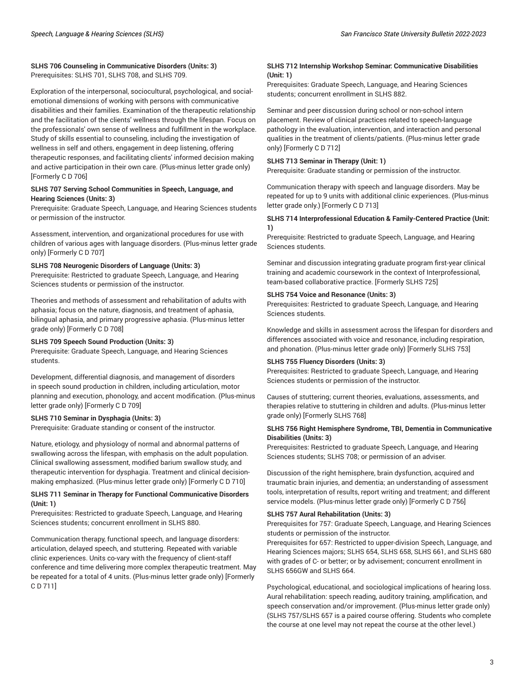## **SLHS 706 Counseling in Communicative Disorders (Units: 3)** Prerequisites: SLHS 701, SLHS 708, and SLHS 709.

Exploration of the interpersonal, sociocultural, psychological, and socialemotional dimensions of working with persons with communicative disabilities and their families. Examination of the therapeutic relationship and the facilitation of the clients' wellness through the lifespan. Focus on the professionals' own sense of wellness and fulfillment in the workplace. Study of skills essential to counseling, including the investigation of wellness in self and others, engagement in deep listening, offering therapeutic responses, and facilitating clients' informed decision making and active participation in their own care. (Plus-minus letter grade only) [Formerly C D 706]

## **SLHS 707 Serving School Communities in Speech, Language, and Hearing Sciences (Units: 3)**

Prerequisite: Graduate Speech, Language, and Hearing Sciences students or permission of the instructor.

Assessment, intervention, and organizational procedures for use with children of various ages with language disorders. (Plus-minus letter grade only) [Formerly C D 707]

## **SLHS 708 Neurogenic Disorders of Language (Units: 3)**

Prerequisite: Restricted to graduate Speech, Language, and Hearing Sciences students or permission of the instructor.

Theories and methods of assessment and rehabilitation of adults with aphasia; focus on the nature, diagnosis, and treatment of aphasia, bilingual aphasia, and primary progressive aphasia. (Plus-minus letter grade only) [Formerly C D 708]

#### **SLHS 709 Speech Sound Production (Units: 3)**

Prerequisite: Graduate Speech, Language, and Hearing Sciences students.

Development, differential diagnosis, and management of disorders in speech sound production in children, including articulation, motor planning and execution, phonology, and accent modification. (Plus-minus letter grade only) [Formerly C D 709]

## **SLHS 710 Seminar in Dysphagia (Units: 3)**

Prerequisite: Graduate standing or consent of the instructor.

Nature, etiology, and physiology of normal and abnormal patterns of swallowing across the lifespan, with emphasis on the adult population. Clinical swallowing assessment, modified barium swallow study, and therapeutic intervention for dysphagia. Treatment and clinical decisionmaking emphasized. (Plus-minus letter grade only) [Formerly C D 710]

## **SLHS 711 Seminar in Therapy for Functional Communicative Disorders (Unit: 1)**

Prerequisites: Restricted to graduate Speech, Language, and Hearing Sciences students; concurrent enrollment in SLHS 880.

Communication therapy, functional speech, and language disorders: articulation, delayed speech, and stuttering. Repeated with variable clinic experiences. Units co-vary with the frequency of client-staff conference and time delivering more complex therapeutic treatment. May be repeated for a total of 4 units. (Plus-minus letter grade only) [Formerly C D 711]

## **SLHS 712 Internship Workshop Seminar: Communicative Disabilities (Unit: 1)**

Prerequisites: Graduate Speech, Language, and Hearing Sciences students; concurrent enrollment in SLHS 882.

Seminar and peer discussion during school or non-school intern placement. Review of clinical practices related to speech-language pathology in the evaluation, intervention, and interaction and personal qualities in the treatment of clients/patients. (Plus-minus letter grade only) [Formerly C D 712]

# **SLHS 713 Seminar in Therapy (Unit: 1)**

Prerequisite: Graduate standing or permission of the instructor.

Communication therapy with speech and language disorders. May be repeated for up to 9 units with additional clinic experiences. (Plus-minus letter grade only.) [Formerly C D 713]

## **SLHS 714 Interprofessional Education & Family-Centered Practice (Unit: 1)**

Prerequisite: Restricted to graduate Speech, Language, and Hearing Sciences students.

Seminar and discussion integrating graduate program first-year clinical training and academic coursework in the context of Interprofessional, team-based collaborative practice. [Formerly SLHS 725]

#### **SLHS 754 Voice and Resonance (Units: 3)**

Prerequisites: Restricted to graduate Speech, Language, and Hearing Sciences students.

Knowledge and skills in assessment across the lifespan for disorders and differences associated with voice and resonance, including respiration, and phonation. (Plus-minus letter grade only) [Formerly SLHS 753]

#### **SLHS 755 Fluency Disorders (Units: 3)**

Prerequisites: Restricted to graduate Speech, Language, and Hearing Sciences students or permission of the instructor.

Causes of stuttering; current theories, evaluations, assessments, and therapies relative to stuttering in children and adults. (Plus-minus letter grade only) [Formerly SLHS 768]

## **SLHS 756 Right Hemisphere Syndrome, TBI, Dementia in Communicative Disabilities (Units: 3)**

Prerequisites: Restricted to graduate Speech, Language, and Hearing Sciences students; SLHS 708; or permission of an adviser.

Discussion of the right hemisphere, brain dysfunction, acquired and traumatic brain injuries, and dementia; an understanding of assessment tools, interpretation of results, report writing and treatment; and different service models. (Plus-minus letter grade only) [Formerly C D 756]

# **SLHS 757 Aural Rehabilitation (Units: 3)**

Prerequisites for 757: Graduate Speech, Language, and Hearing Sciences students or permission of the instructor.

Prerequisites for 657: Restricted to upper-division Speech, Language, and Hearing Sciences majors; SLHS 654, SLHS 658, SLHS 661, and SLHS 680 with grades of C- or better; or by advisement; concurrent enrollment in SLHS 656GW and SLHS 664.

Psychological, educational, and sociological implications of hearing loss. Aural rehabilitation: speech reading, auditory training, amplification, and speech conservation and/or improvement. (Plus-minus letter grade only) (SLHS 757/SLHS 657 is a paired course offering. Students who complete the course at one level may not repeat the course at the other level.)